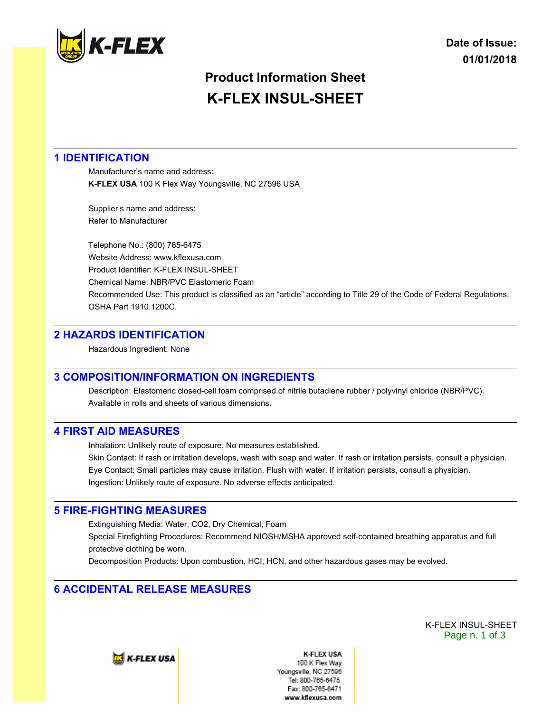

# **Product Information Sheet K-FLEX INSUL-SHEET**

## **1 IDENTIFICATION**

Manufacturer's name and address: **K-FLEX USA** 100 K Flex Way Youngsville, NC 27596 USA

Supplier's name and address: Refer to Manufacturer

Telephone No.: (800) 765-6475 Website Address: www.kflexusa.com Product Identifier: K-FLEX INSUL-SHEET Chemical Name: NBR/PVC Elastomeric Foam Recommended Use: This product is classified as an "article" according to Title 29 of the Code of Federal Regulations, OSHA Part 1910.1200C.

## **2 HAZARDS IDENTIFICATION**

Hazardous Ingredient: None

## **3 COMPOSITION/INFORMATION ON INGREDIENTS**

Description: Elastomeric closed-cell foam comprised of nitrile butadiene rubber / polyvinyl chloride (NBR/PVC). Available in rolls and sheets of various dimensions.

## **4 FIRST AID MEASURES**

Inhalation: Unlikely route of exposure. No measures established.

Skin Contact: If rash or irritation develops, wash with soap and water. If rash or irritation persists, consult a physician. Eye Contact: Small particles may cause irritation. Flush with water. If irritation persists, consult a physician. Ingestion: Unlikely route of exposure. No adverse effects anticipated.

## **5 FIRE-FIGHTING MEASURES**

Extinguishing Media: Water, CO2, Dry Chemical, Foam Special Firefighting Procedures: Recommend NIOSH/MSHA approved self-contained breathing apparatus and full protective clothing be worn.

Decomposition Products: Upon combustion, HCI, HCN, and other hazardous gases may be evolved.

# **6 ACCIDENTAL RELEASE MEASURES**

K-FLEX INSUL-SHEET Page n. 1 of 3

**E** K-FLEX USA

**K-FLEX USA** 100 K Flex Wav Youngsville, NC 27596 Tel: 800-765-6475 Fax: 800-765-6471 www.kflexusa.com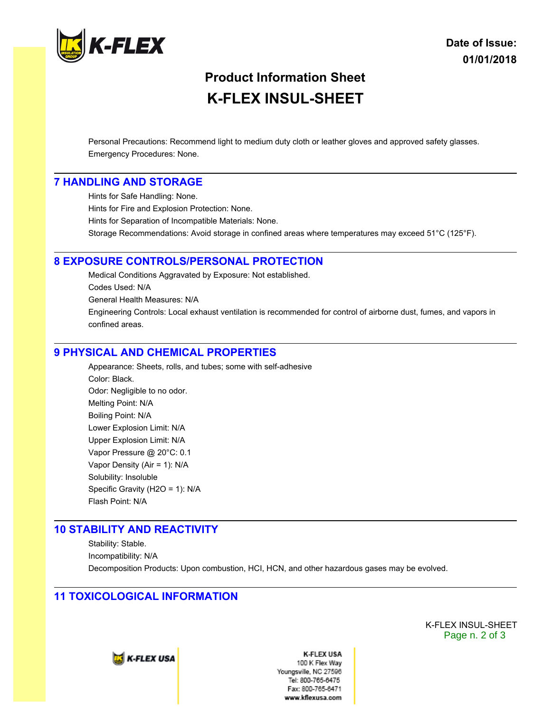

# **Product Information Sheet K-FLEX INSUL-SHEET**

Personal Precautions: Recommend light to medium duty cloth or leather gloves and approved safety glasses. Emergency Procedures: None.

#### **7 HANDLING AND STORAGE**

Hints for Safe Handling: None. Hints for Fire and Explosion Protection: None. Hints for Separation of Incompatible Materials: None. Storage Recommendations: Avoid storage in confined areas where temperatures may exceed 51°C (125°F).

#### **8 EXPOSURE CONTROLS/PERSONAL PROTECTION**

Medical Conditions Aggravated by Exposure: Not established. Codes Used: N/A General Health Measures: N/A Engineering Controls: Local exhaust ventilation is recommended for control of airborne dust, fumes, and vapors in confined areas.

#### **9 PHYSICAL AND CHEMICAL PROPERTIES**

Appearance: Sheets, rolls, and tubes; some with self-adhesive Color: Black. Odor: Negligible to no odor. Melting Point: N/A Boiling Point: N/A Lower Explosion Limit: N/A Upper Explosion Limit: N/A Vapor Pressure @ 20°C: 0.1 Vapor Density (Air = 1): N/A Solubility: Insoluble Specific Gravity (H2O = 1): N/A Flash Point: N/A

#### **10 STABILITY AND REACTIVITY**

Stability: Stable. Incompatibility: N/A Decomposition Products: Upon combustion, HCI, HCN, and other hazardous gases may be evolved.

#### **11 TOXICOLOGICAL INFORMATION**

K-FLEX INSUL-SHEET Page n. 2 of 3



**K-FLEX USA** 100 K Flex Wav Youngsville, NC 27596 Tel: 800-765-6475 Fax: 800-765-6471 www.kflexusa.com